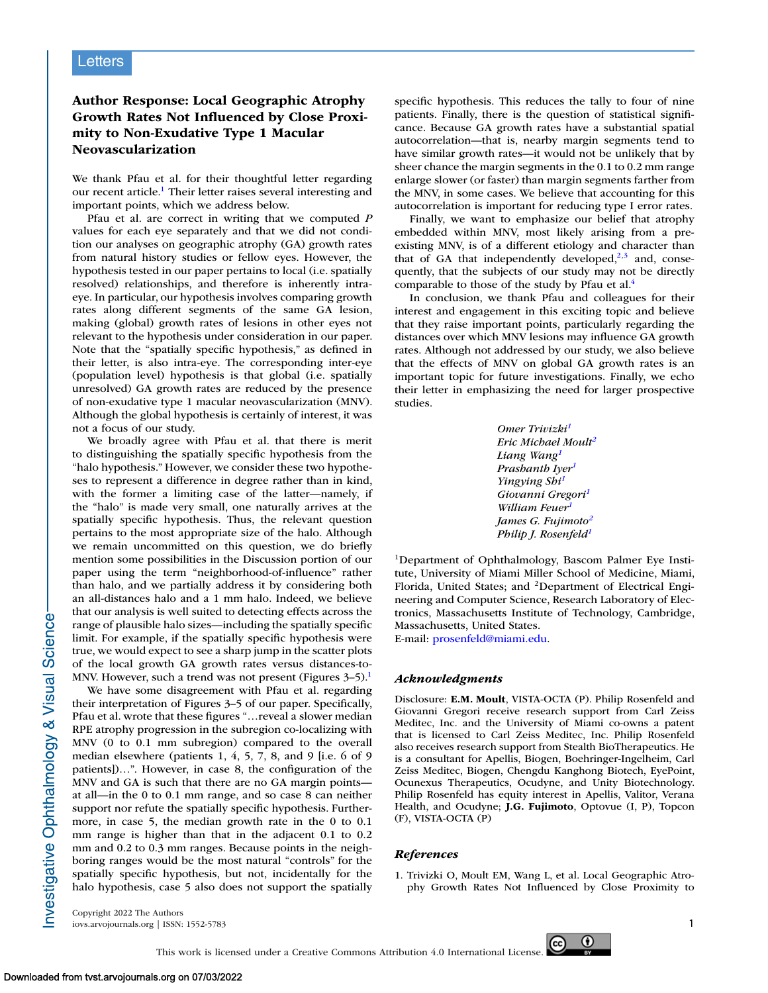## **Letters**

## **Author Response: Local Geographic Atrophy Growth Rates Not Influenced by Close Proximity to Non-Exudative Type 1 Macular Neovascularization**

We thank Pfau et al. for their thoughtful letter regarding our recent article.1 Their letter raises several interesting and important points, which we address below.

Pfau et al. are correct in writing that we computed *P* values for each eye separately and that we did not condition our analyses on geographic atrophy (GA) growth rates from natural history studies or fellow eyes. However, the hypothesis tested in our paper pertains to local (i.e. spatially resolved) relationships, and therefore is inherently intraeye. In particular, our hypothesis involves comparing growth rates along different segments of the same GA lesion, making (global) growth rates of lesions in other eyes not relevant to the hypothesis under consideration in our paper. Note that the "spatially specific hypothesis," as defined in their letter, is also intra-eye. The corresponding inter-eye (population level) hypothesis is that global (i.e. spatially unresolved) GA growth rates are reduced by the presence of non-exudative type 1 macular neovascularization (MNV). Although the global hypothesis is certainly of interest, it was not a focus of our study.

We broadly agree with Pfau et al. that there is merit to distinguishing the spatially specific hypothesis from the "halo hypothesis." However, we consider these two hypotheses to represent a difference in degree rather than in kind, with the former a limiting case of the latter—namely, if the "halo" is made very small, one naturally arrives at the spatially specific hypothesis. Thus, the relevant question pertains to the most appropriate size of the halo. Although we remain uncommitted on this question, we do briefly mention some possibilities in the Discussion portion of our paper using the term "neighborhood-of-influence" rather than halo, and we partially address it by considering both an all-distances halo and a 1 mm halo. Indeed, we believe that our analysis is well suited to detecting effects across the range of plausible halo sizes—including the spatially specific limit. For example, if the spatially specific hypothesis were true, we would expect to see a sharp jump in the scatter plots of the local growth GA growth rates versus distances-to-MNV. However, such a trend was not present (Figures  $3-5$ ).<sup>1</sup>

We have some disagreement with Pfau et al. regarding their interpretation of Figures 3–5 of our paper. Specifically, Pfau et al. wrote that these figures "…reveal a slower median RPE atrophy progression in the subregion co-localizing with MNV (0 to 0.1 mm subregion) compared to the overall median elsewhere (patients 1, 4, 5, 7, 8, and 9 [i.e. 6 of 9 patients])…". However, in case 8, the configuration of the MNV and GA is such that there are no GA margin points at all—in the 0 to 0.1 mm range, and so case 8 can neither support nor refute the spatially specific hypothesis. Furthermore, in case 5, the median growth rate in the 0 to 0.1 mm range is higher than that in the adjacent 0.1 to 0.2 mm and 0.2 to 0.3 mm ranges. Because points in the neighboring ranges would be the most natural "controls" for the spatially specific hypothesis, but not, incidentally for the halo hypothesis, case 5 also does not support the spatially specific hypothesis. This reduces the tally to four of nine patients. Finally, there is the question of statistical significance. Because GA growth rates have a substantial spatial autocorrelation—that is, nearby margin segments tend to have similar growth rates—it would not be unlikely that by sheer chance the margin segments in the 0.1 to 0.2 mm range enlarge slower (or faster) than margin segments farther from the MNV, in some cases. We believe that accounting for this autocorrelation is important for reducing type I error rates.

Finally, we want to emphasize our belief that atrophy embedded within MNV, most likely arising from a preexisting MNV, is of a different etiology and character than that of GA that independently developed, $2,3$  and, consequently, that the subjects of our study may not be directly comparable to those of the study by Pfau et al.<sup>4</sup>

In conclusion, we thank Pfau and colleagues for their interest and engagement in this exciting topic and believe that they raise important points, particularly regarding the distances over which MNV lesions may influence GA growth rates. Although not addressed by our study, we also believe that the effects of MNV on global GA growth rates is an important topic for future investigations. Finally, we echo their letter in emphasizing the need for larger prospective studies.

| Omer Trivizki <sup>1</sup>       |
|----------------------------------|
| Eric Michael Moult <sup>2</sup>  |
| Liang Wang <sup>1</sup>          |
| Prashanth Iyer <sup>1</sup>      |
| Yingying Shi <sup>1</sup>        |
| Giovanni Gregori <sup>1</sup>    |
| William Feuer <sup>1</sup>       |
| James G. Fujimoto <sup>2</sup>   |
| Philip J. Rosenfeld <sup>1</sup> |

1Department of Ophthalmology, Bascom Palmer Eye Institute, University of Miami Miller School of Medicine, Miami, Florida, United States; and <sup>2</sup>Department of Electrical Engineering and Computer Science, Research Laboratory of Electronics, Massachusetts Institute of Technology, Cambridge, Massachusetts, United States.

E-mail: [prosenfeld@miami.edu.](mailto:prosenfeld@miami.edu)

## *Acknowledgments*

Disclosure: **E.M. Moult**, VISTA-OCTA (P). Philip Rosenfeld and Giovanni Gregori receive research support from Carl Zeiss Meditec, Inc. and the University of Miami co-owns a patent that is licensed to Carl Zeiss Meditec, Inc. Philip Rosenfeld also receives research support from Stealth BioTherapeutics. He is a consultant for Apellis, Biogen, Boehringer-Ingelheim, Carl Zeiss Meditec, Biogen, Chengdu Kanghong Biotech, EyePoint, Ocunexus Therapeutics, Ocudyne, and Unity Biotechnology. Philip Rosenfeld has equity interest in Apellis, Valitor, Verana Health, and Ocudyne; **J.G. Fujimoto**, Optovue (I, P), Topcon (F), VISTA-OCTA (P)

## *References*

1. Trivizki O, Moult EM, Wang L, et al. Local Geographic Atrophy Growth Rates Not Influenced by Close Proximity to

Copyright 2022 The Authors iovs.arvojournals.org | ISSN: 1552-5783 1



Investigative Ophthalmology & Visual Science